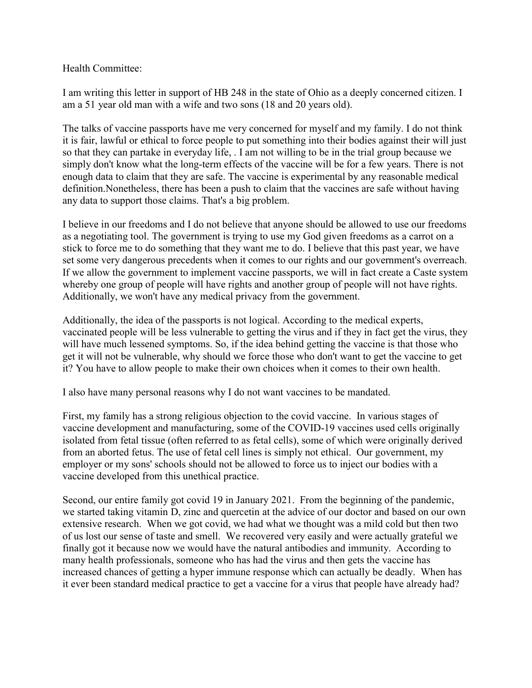Health Committee:

I am writing this letter in support of HB 248 in the state of Ohio as a deeply concerned citizen. I am a 51 year old man with a wife and two sons (18 and 20 years old).

The talks of vaccine passports have me very concerned for myself and my family. I do not think it is fair, lawful or ethical to force people to put something into their bodies against their will just so that they can partake in everyday life, . I am not willing to be in the trial group because we simply don't know what the long-term effects of the vaccine will be for a few years. There is not enough data to claim that they are safe. The vaccine is experimental by any reasonable medical definition.Nonetheless, there has been a push to claim that the vaccines are safe without having any data to support those claims. That's a big problem.

I believe in our freedoms and I do not believe that anyone should be allowed to use our freedoms as a negotiating tool. The government is trying to use my God given freedoms as a carrot on a stick to force me to do something that they want me to do. I believe that this past year, we have set some very dangerous precedents when it comes to our rights and our government's overreach. If we allow the government to implement vaccine passports, we will in fact create a Caste system whereby one group of people will have rights and another group of people will not have rights. Additionally, we won't have any medical privacy from the government.

Additionally, the idea of the passports is not logical. According to the medical experts, vaccinated people will be less vulnerable to getting the virus and if they in fact get the virus, they will have much lessened symptoms. So, if the idea behind getting the vaccine is that those who get it will not be vulnerable, why should we force those who don't want to get the vaccine to get it? You have to allow people to make their own choices when it comes to their own health.

I also have many personal reasons why I do not want vaccines to be mandated.

First, my family has a strong religious objection to the covid vaccine. In various stages of vaccine development and manufacturing, some of the COVID-19 vaccines used cells originally isolated from fetal tissue (often referred to as fetal cells), some of which were originally derived from an aborted fetus. The use of fetal cell lines is simply not ethical. Our government, my employer or my sons' schools should not be allowed to force us to inject our bodies with a vaccine developed from this unethical practice.

Second, our entire family got covid 19 in January 2021. From the beginning of the pandemic, we started taking vitamin D, zinc and quercetin at the advice of our doctor and based on our own extensive research. When we got covid, we had what we thought was a mild cold but then two of us lost our sense of taste and smell. We recovered very easily and were actually grateful we finally got it because now we would have the natural antibodies and immunity. According to many health professionals, someone who has had the virus and then gets the vaccine has increased chances of getting a hyper immune response which can actually be deadly. When has it ever been standard medical practice to get a vaccine for a virus that people have already had?